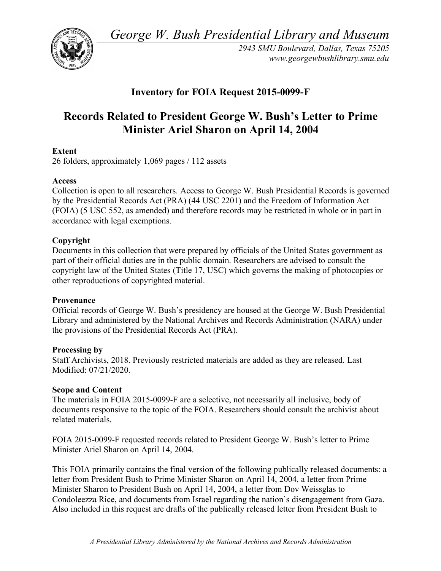*George W. Bush Presidential Library and Museum* 



*2943 SMU Boulevard, Dallas, Texas 75205 <www.georgewbushlibrary.smu.edu>* 

# **Inventory for FOIA Request 2015-0099-F**

# **Records Related to President George W. Bush's Letter to Prime Minister Ariel Sharon on April 14, 2004**

## **Extent**

26 folders, approximately 1,069 pages / 112 assets

#### **Access**

 Collection is open to all researchers. Access to George W. Bush Presidential Records is governed by the Presidential Records Act (PRA) (44 USC 2201) and the Freedom of Information Act (FOIA) (5 USC 552, as amended) and therefore records may be restricted in whole or in part in accordance with legal exemptions.

## **Copyright**

 Documents in this collection that were prepared by officials of the United States government as part of their official duties are in the public domain. Researchers are advised to consult the copyright law of the United States (Title 17, USC) which governs the making of photocopies or other reproductions of copyrighted material.

#### **Provenance**

 Official records of George W. Bush's presidency are housed at the George W. Bush Presidential Library and administered by the National Archives and Records Administration (NARA) under the provisions of the Presidential Records Act (PRA).

#### **Processing by**

 Staff Archivists, 2018. Previously restricted materials are added as they are released. Last Modified: 07/21/2020.

#### **Scope and Content**

 The materials in FOIA 2015-0099-F are a selective, not necessarily all inclusive, body of documents responsive to the topic of the FOIA. Researchers should consult the archivist about related materials.

 FOIA 2015-0099-F requested records related to President George W. Bush's letter to Prime Minister Ariel Sharon on April 14, 2004.

 This FOIA primarily contains the final version of the following publically released documents: a letter from President Bush to Prime Minister Sharon on April 14, 2004, a letter from Prime Minister Sharon to President Bush on April 14, 2004, a letter from Dov Weissglas to Condoleezza Rice, and documents from Israel regarding the nation's disengagement from Gaza. Also included in this request are drafts of the publically released letter from President Bush to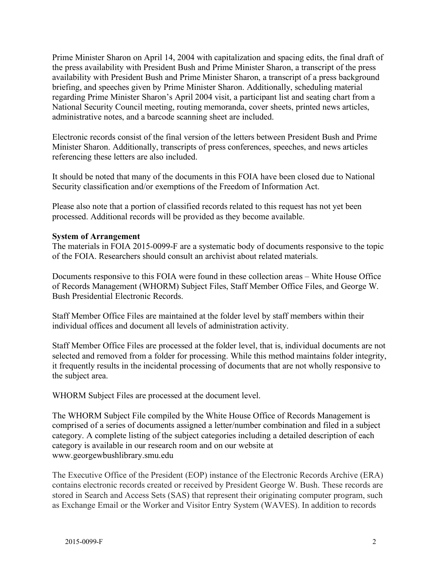Prime Minister Sharon on April 14, 2004 with capitalization and spacing edits, the final draft of the press availability with President Bush and Prime Minister Sharon, a transcript of the press availability with President Bush and Prime Minister Sharon, a transcript of a press background briefing, and speeches given by Prime Minister Sharon. Additionally, scheduling material regarding Prime Minister Sharon's April 2004 visit, a participant list and seating chart from a National Security Council meeting, routing memoranda, cover sheets, printed news articles, administrative notes, and a barcode scanning sheet are included.

 Electronic records consist of the final version of the letters between President Bush and Prime Minister Sharon. Additionally, transcripts of press conferences, speeches, and news articles referencing these letters are also included.

 It should be noted that many of the documents in this FOIA have been closed due to National Security classification and/or exemptions of the Freedom of Information Act.

 Please also note that a portion of classified records related to this request has not yet been processed. Additional records will be provided as they become available.

#### **System of Arrangement**

 The materials in FOIA 2015-0099-F are a systematic body of documents responsive to the topic of the FOIA. Researchers should consult an archivist about related materials.

 Documents responsive to this FOIA were found in these collection areas – White House Office of Records Management (WHORM) Subject Files, Staff Member Office Files, and George W. Bush Presidential Electronic Records.

 Staff Member Office Files are maintained at the folder level by staff members within their individual offices and document all levels of administration activity.

 Staff Member Office Files are processed at the folder level, that is, individual documents are not selected and removed from a folder for processing. While this method maintains folder integrity, it frequently results in the incidental processing of documents that are not wholly responsive to the subject area.

WHORM Subject Files are processed at the document level.

 The WHORM Subject File compiled by the White House Office of Records Management is comprised of a series of documents assigned a letter/number combination and filed in a subject category. A complete listing of the subject categories including a detailed description of each category is available in our research room and on our website at <www.georgewbushlibrary.smu.edu>

 The Executive Office of the President (EOP) instance of the Electronic Records Archive (ERA) contains electronic records created or received by President George W. Bush. These records are stored in Search and Access Sets (SAS) that represent their originating computer program, such as Exchange Email or the Worker and Visitor Entry System (WAVES). In addition to records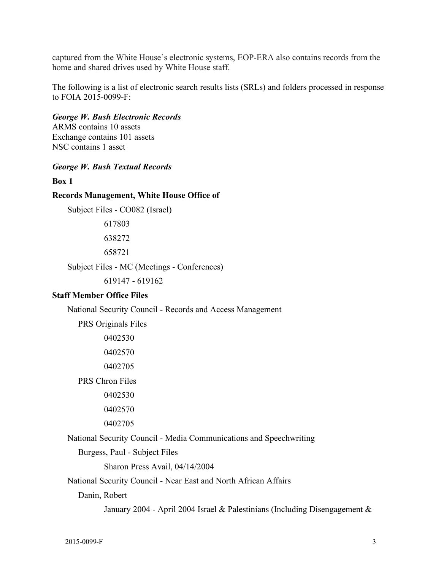captured from the White House's electronic systems, EOP-ERA also contains records from the home and shared drives used by White House staff.

 The following is a list of electronic search results lists (SRLs) and folders processed in response to FOIA 2015-0099-F:

 *George W. Bush Electronic Records*  ARMS contains 10 assets

 Exchange contains 101 assets NSC contains 1 asset

#### *George W. Bush Textual Records*

**Box 1** 

#### **Records Management, White House Office of**

Subject Files - CO082 (Israel)

617803 638272 658721

Subject Files - MC (Meetings - Conferences)

619147 - 619162

#### **Staff Member Office Files**

National Security Council - Records and Access Management

PRS Originals Files

0402530 0402570

0402705

PRS Chron Files

0402530

0402570

0402705

National Security Council - Media Communications and Speechwriting

Burgess, Paul - Subject Files

Sharon Press Avail, 04/14/2004

National Security Council - Near East and North African Affairs

Danin, Robert

January 2004 - April 2004 Israel & Palestinians (Including Disengagement &